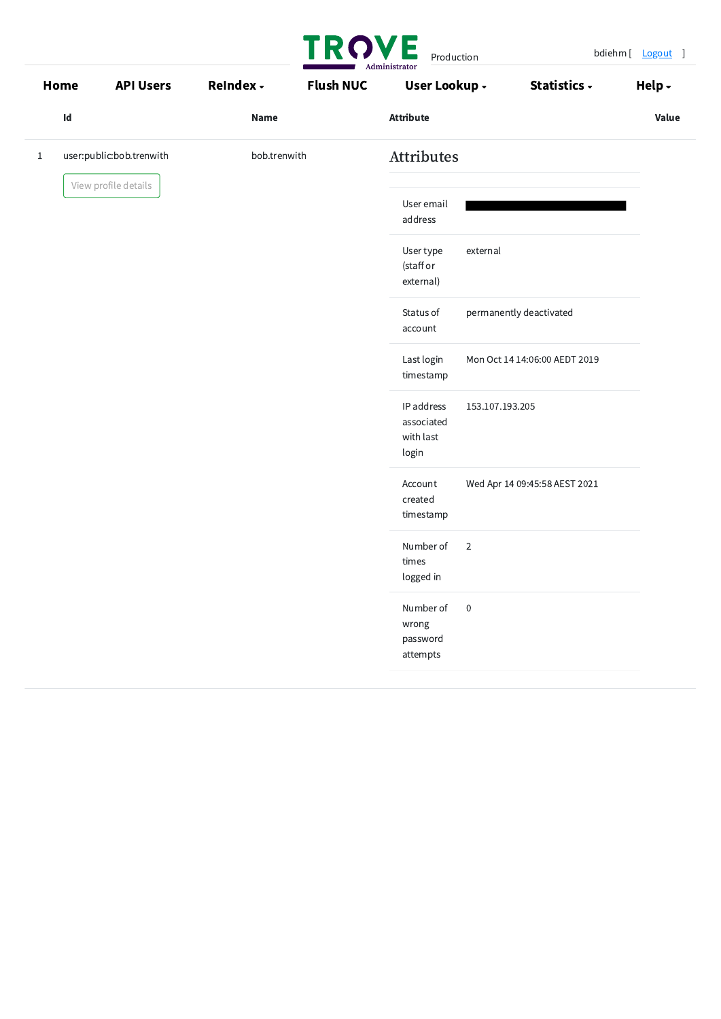|              | Home | <b>API Users</b>         | <b>ReIndex -</b> | <b>Flush NUC</b> | User Lookup -                                  |                  | Statistics -                  | Help $\overline{\phantom{a}}$ |
|--------------|------|--------------------------|------------------|------------------|------------------------------------------------|------------------|-------------------------------|-------------------------------|
|              | Id   |                          | <b>Name</b>      |                  | <b>Attribute</b>                               |                  |                               | <b>Value</b>                  |
| $\mathbf{1}$ |      | user:public:bob.trenwith | bob.trenwith     |                  | Attributes                                     |                  |                               |                               |
|              |      | View profile details     |                  |                  | User email<br>address                          |                  |                               |                               |
|              |      |                          |                  |                  | User type<br>(staff or<br>external)            | external         |                               |                               |
|              |      |                          |                  |                  | Status of<br>account                           |                  | permanently deactivated       |                               |
|              |      |                          |                  |                  | Last login<br>timestamp                        |                  | Mon Oct 14 14:06:00 AEDT 2019 |                               |
|              |      |                          |                  |                  | IP address<br>associated<br>with last<br>login | 153.107.193.205  |                               |                               |
|              |      |                          |                  |                  | Account<br>created<br>timestamp                |                  | Wed Apr 14 09:45:58 AEST 2021 |                               |
|              |      |                          |                  |                  | Number of<br>times<br>logged in                | $\overline{2}$   |                               |                               |
|              |      |                          |                  |                  | Number of<br>wrong<br>password                 | $\boldsymbol{0}$ |                               |                               |
|              |      |                          |                  |                  | attempts                                       |                  |                               |                               |

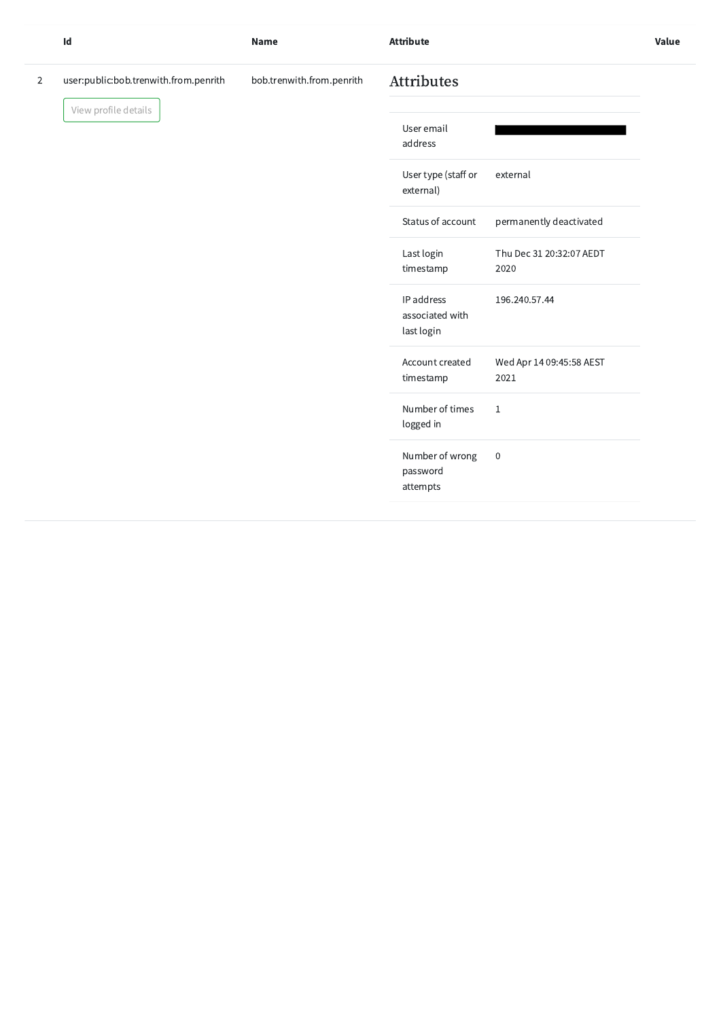|                | Id                                    | <b>Name</b>               | <b>Attribute</b>                            |                                  | Value |
|----------------|---------------------------------------|---------------------------|---------------------------------------------|----------------------------------|-------|
| $\overline{2}$ | user:public:bob.trenwith.from.penrith | bob.trenwith.from.penrith | <b>Attributes</b>                           |                                  |       |
|                | View profile details                  |                           | User email<br>address                       |                                  |       |
|                |                                       |                           | User type (staff or<br>external)            | external                         |       |
|                |                                       |                           | Status of account                           | permanently deactivated          |       |
|                |                                       |                           | Last login<br>timestamp                     | Thu Dec 31 20:32:07 AEDT<br>2020 |       |
|                |                                       |                           | IP address<br>associated with<br>last login | 196.240.57.44                    |       |
|                |                                       |                           | Account created<br>timestamp                | Wed Apr 14 09:45:58 AEST<br>2021 |       |
|                |                                       |                           | Number of times<br>logged in                | 1                                |       |
|                |                                       |                           | Number of wrong<br>password                 | $\,0\,$                          |       |
|                |                                       |                           | attempts                                    |                                  |       |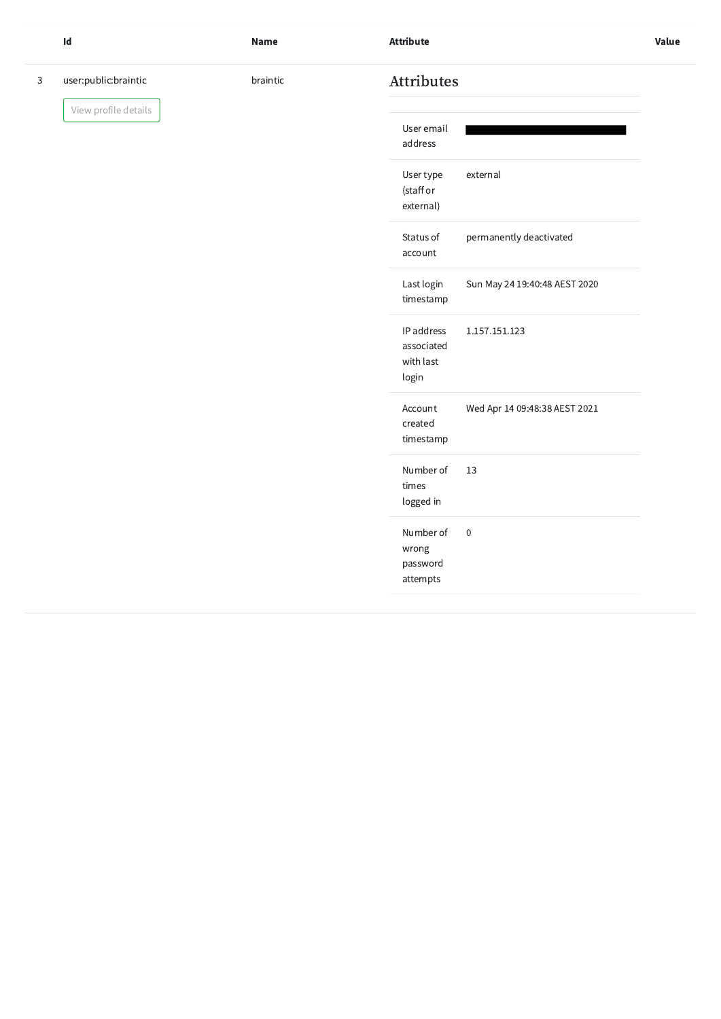3 user:public:braintic

View profile details

| braintic | <b>Attributes</b> |
|----------|-------------------|
|----------|-------------------|

| User email<br>address                          |                               |
|------------------------------------------------|-------------------------------|
| User type<br>(staff or<br>external)            | external                      |
| Status of<br>account                           | permanently deactivated       |
| Last login<br>timestamp                        | Sun May 24 19:40:48 AEST 2020 |
| IP address<br>associated<br>with last<br>login | 1.157.151.123                 |
| Account<br>created<br>timestamp                | Wed Apr 14 09:48:38 AEST 2021 |
| Number of<br>times<br>logged in                | 13                            |
| Number of<br>wrong<br>password<br>attempts     | $\overline{0}$                |
|                                                |                               |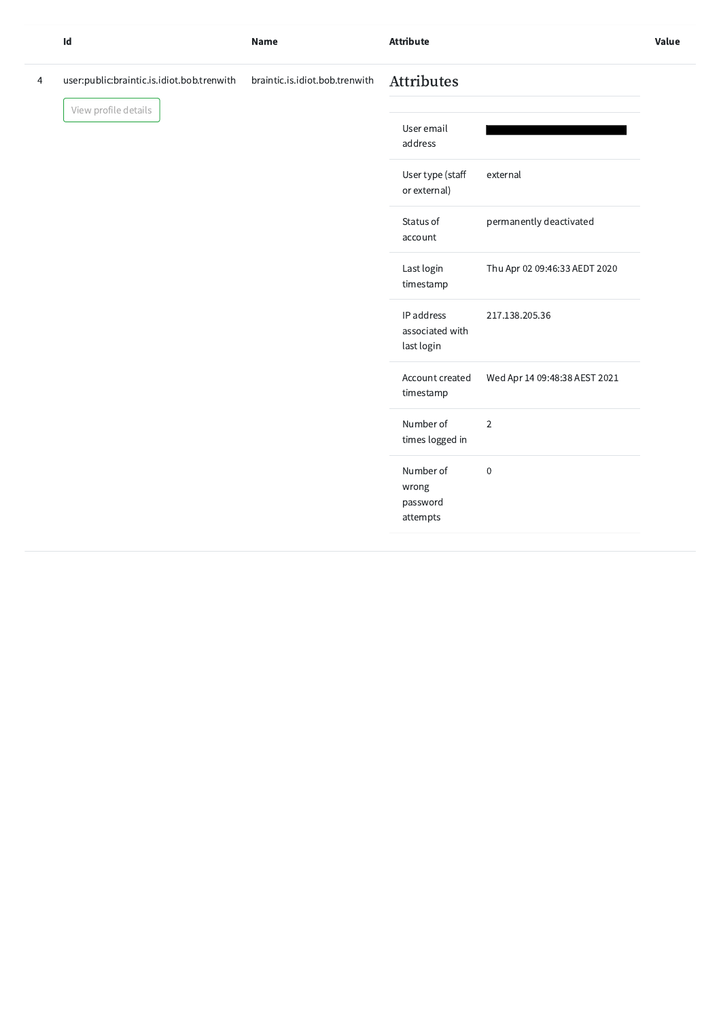4 user:public:braintic.is.idiot.bob.trenwith braintic.is.idiot.bob.trenwith Attributes

View profile details

| Id | Name | <b>Attribute</b> | <b>Value</b> |
|----|------|------------------|--------------|
|    |      | .                |              |
|    |      |                  |              |

| User email<br>address                       |                               |
|---------------------------------------------|-------------------------------|
| User type (staff<br>or external)            | external                      |
| Status of<br>account                        | permanently deactivated       |
| Last login<br>timestamp                     | Thu Apr 02 09:46:33 AEDT 2020 |
| IP address<br>associated with<br>last login | 217.138.205.36                |
| Account created<br>timestamp                | Wed Apr 14 09:48:38 AEST 2021 |
| Number of<br>times logged in                | $\overline{2}$                |
| Number of<br>wrong<br>password              | 0                             |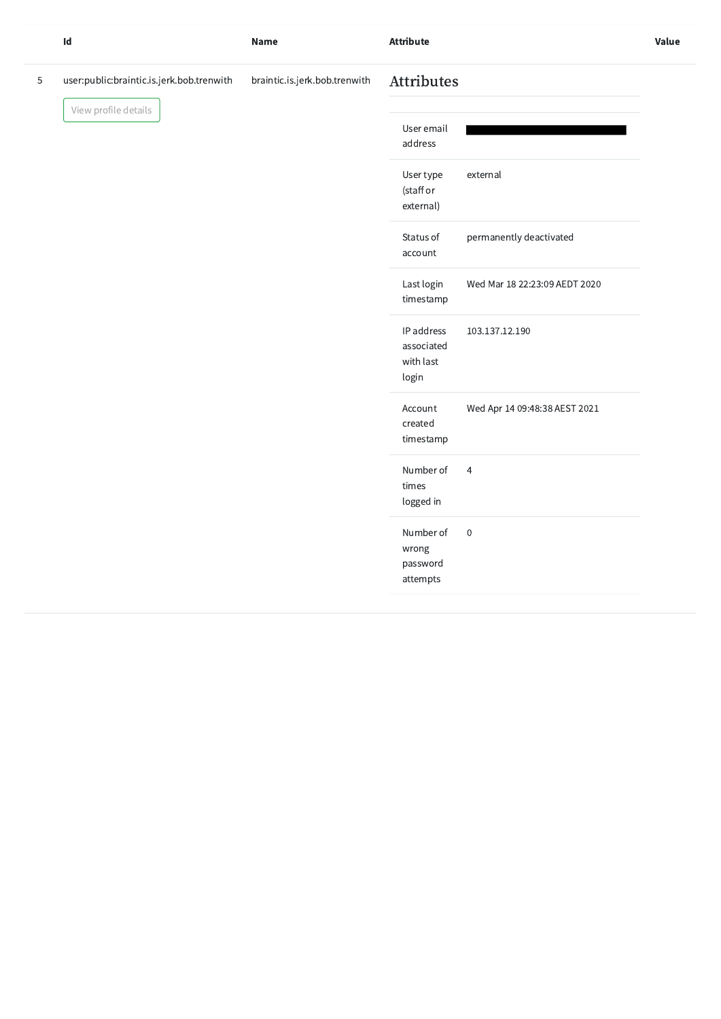|   | $\mathsf{Id}$                             | <b>Name</b>                   | <b>Attribute</b>                               |                               | Value |
|---|-------------------------------------------|-------------------------------|------------------------------------------------|-------------------------------|-------|
| 5 | user:public:braintic.is.jerk.bob.trenwith | braintic.is.jerk.bob.trenwith | <b>Attributes</b>                              |                               |       |
|   | View profile details                      |                               | User email<br>address                          |                               |       |
|   |                                           |                               | User type<br>(staff or<br>external)            | external                      |       |
|   |                                           |                               | Status of<br>account                           | permanently deactivated       |       |
|   |                                           |                               | Last login<br>timestamp                        | Wed Mar 18 22:23:09 AEDT 2020 |       |
|   |                                           |                               | IP address<br>associated<br>with last<br>login | 103.137.12.190                |       |
|   |                                           |                               | Account<br>created<br>timestamp                | Wed Apr 14 09:48:38 AEST 2021 |       |
|   |                                           |                               | Number of<br>times<br>logged in                | $\overline{4}$                |       |
|   |                                           |                               | Number of<br>wrong<br>password                 | $\,0\,$                       |       |

attempts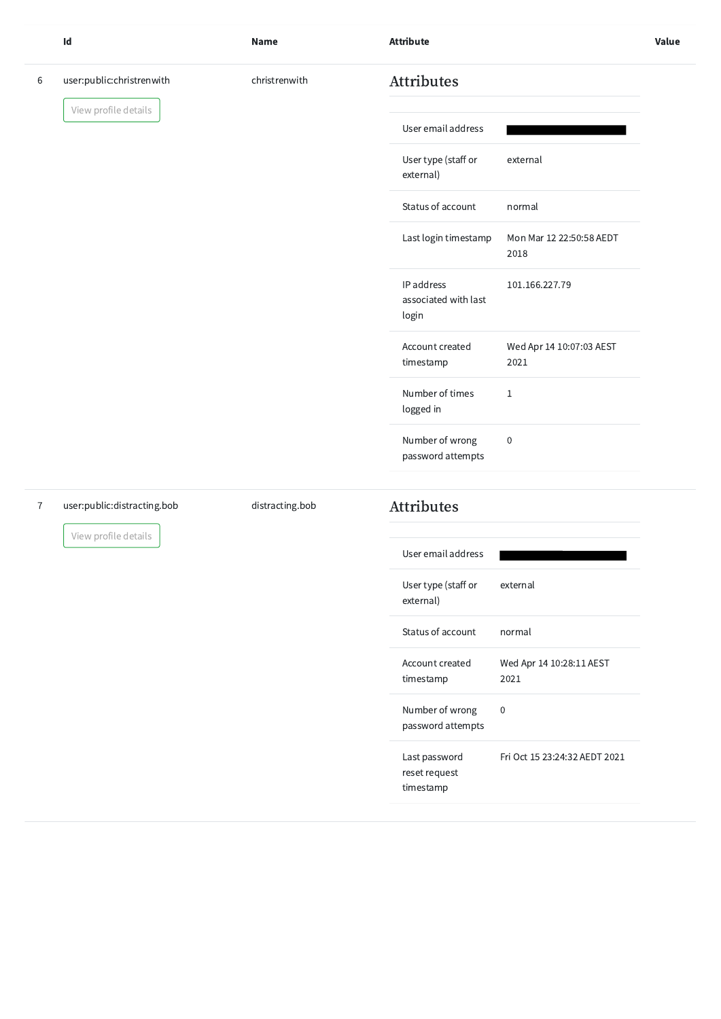reset request

|                | $\mathsf{Id}$               | <b>Name</b>     | <b>Attribute</b>                            |                                  | Value |
|----------------|-----------------------------|-----------------|---------------------------------------------|----------------------------------|-------|
| 6              | user:public:christrenwith   | christrenwith   | <b>Attributes</b>                           |                                  |       |
|                | View profile details        |                 | User email address                          |                                  |       |
|                |                             |                 | User type (staff or<br>external)            | external                         |       |
|                |                             |                 | Status of account                           | normal                           |       |
|                |                             |                 | Last login timestamp                        | Mon Mar 12 22:50:58 AEDT<br>2018 |       |
|                |                             |                 | IP address<br>associated with last<br>login | 101.166.227.79                   |       |
|                |                             |                 | Account created<br>timestamp                | Wed Apr 14 10:07:03 AEST<br>2021 |       |
|                |                             |                 | Number of times<br>logged in                | $\mathbf{1}$                     |       |
|                |                             |                 | Number of wrong<br>password attempts        | $\boldsymbol{0}$                 |       |
| $\overline{7}$ | user:public:distracting.bob | distracting.bob | <b>Attributes</b>                           |                                  |       |
|                | View profile details        |                 | User email address                          |                                  |       |
|                |                             |                 | User type (staff or<br>external)            | external                         |       |
|                |                             |                 | Status of account                           | normal                           |       |
|                |                             |                 | Account created<br>timestamp                | Wed Apr 14 10:28:11 AEST<br>2021 |       |
|                |                             |                 | Number of wrong<br>password attempts        | $\,0\,$                          |       |

timestamp

Last password Fri Oct 15 23:24:32 AEDT 2021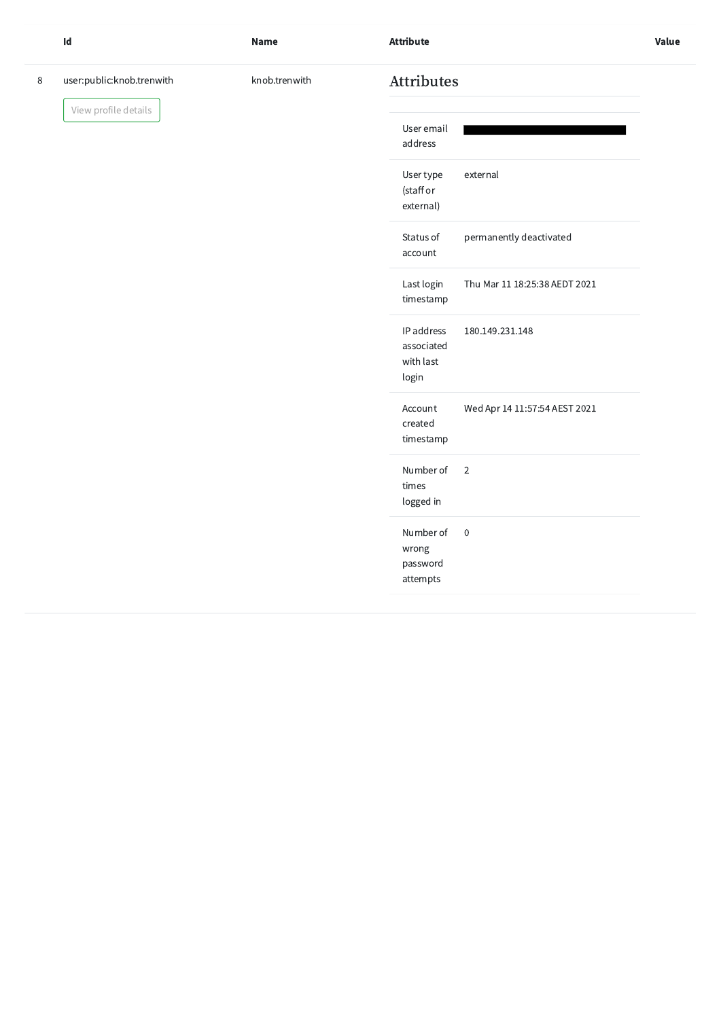|   | $\mathsf{Id}$             | <b>Name</b>   | <b>Attribute</b>                                                  | Value |
|---|---------------------------|---------------|-------------------------------------------------------------------|-------|
| 8 | user:public:knob.trenwith | knob.trenwith | Attributes                                                        |       |
|   | View profile details      |               | User email<br>address                                             |       |
|   |                           |               | User type<br>external<br>(staff or<br>external)                   |       |
|   |                           |               | Status of<br>permanently deactivated<br>account                   |       |
|   |                           |               | Last login<br>Thu Mar 11 18:25:38 AEDT 2021<br>timestamp          |       |
|   |                           |               | IP address<br>180.149.231.148<br>associated<br>with last<br>login |       |
|   |                           |               | Wed Apr 14 11:57:54 AEST 2021<br>Account<br>created<br>timestamp  |       |
|   |                           |               | Number of<br>$\overline{2}$<br>times<br>logged in                 |       |
|   |                           |               | Number of<br>$\overline{0}$<br>wrong<br>password<br>attempts      |       |
|   |                           |               |                                                                   |       |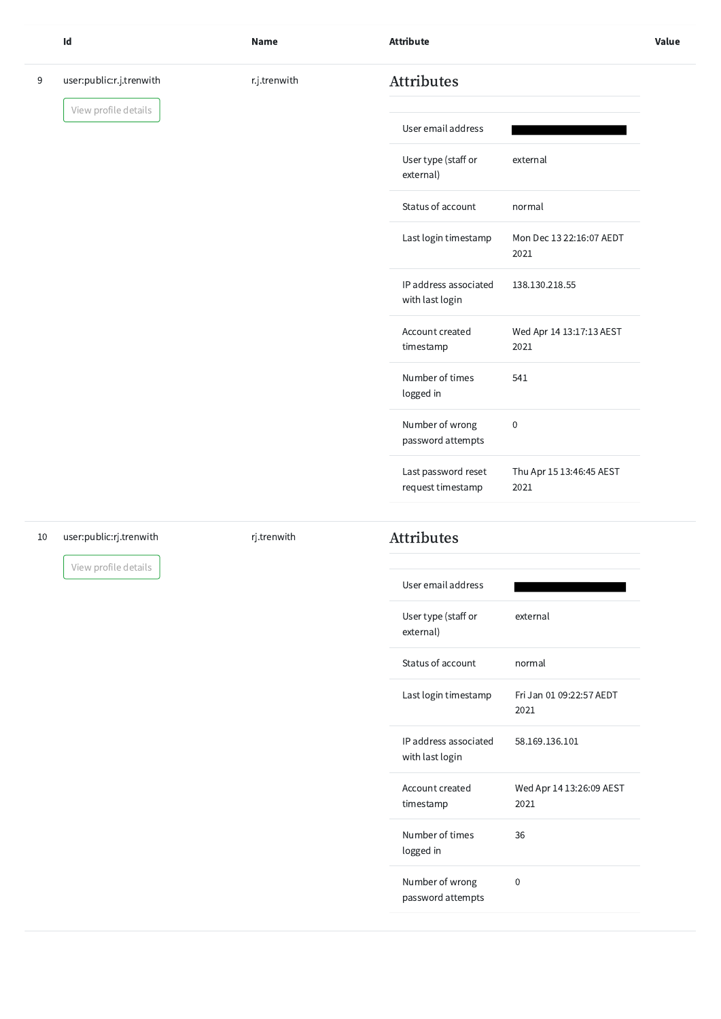|   | Id                       | <b>Name</b>  | <b>Attribute</b>                         |                                  | Value |
|---|--------------------------|--------------|------------------------------------------|----------------------------------|-------|
| 9 | user:public:r.j.trenwith | r.j.trenwith | <b>Attributes</b>                        |                                  |       |
|   | View profile details     |              | User email address                       |                                  |       |
|   |                          |              | User type (staff or<br>external)         | external                         |       |
|   |                          |              | Status of account                        | normal                           |       |
|   |                          |              | Last login timestamp                     | Mon Dec 13 22:16:07 AEDT<br>2021 |       |
|   |                          |              | IP address associated<br>with last login | 138.130.218.55                   |       |
|   |                          |              | Account created<br>timestamp             | Wed Apr 14 13:17:13 AEST<br>2021 |       |
|   |                          |              | Number of times<br>logged in             | 541                              |       |
|   |                          |              | Number of wrong<br>password attempts     | $\boldsymbol{0}$                 |       |
|   |                          |              | Last password reset<br>request timestamp | Thu Apr 15 13:46:45 AEST<br>2021 |       |
|   |                          |              |                                          |                                  |       |

## 10 user:public:rj.trenwith

View profile details

## rj.trenwith Attributes

| User email address                       |                                  |
|------------------------------------------|----------------------------------|
| User type (staff or<br>external)         | external                         |
| Status of account                        | normal                           |
| Last login timestamp                     | Fri Jan 01 09:22:57 AEDT<br>2021 |
| IP address associated<br>with last login | 58.169.136.101                   |

| Account created<br>timestamp         | Wed Apr 14 13:26:09 AEST<br>2021 |
|--------------------------------------|----------------------------------|
| Number of times<br>logged in         | 36                               |
| Number of wrong<br>password attempts |                                  |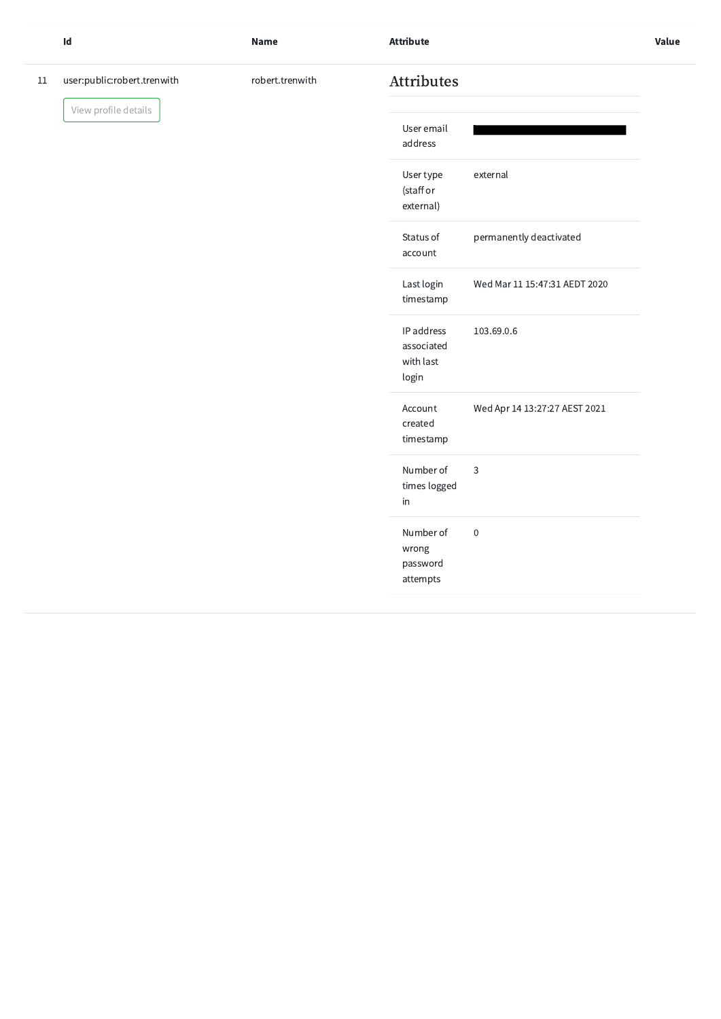|    | Id                          | <b>Name</b>     | <b>Attribute</b>                               |                               | Value |
|----|-----------------------------|-----------------|------------------------------------------------|-------------------------------|-------|
| 11 | user:public:robert.trenwith | robert.trenwith | Attributes                                     |                               |       |
|    | View profile details        |                 | User email<br>address                          |                               |       |
|    |                             |                 | User type<br>(staff or<br>external)            | external                      |       |
|    |                             |                 | Status of<br>account                           | permanently deactivated       |       |
|    |                             |                 | Last login<br>timestamp                        | Wed Mar 11 15:47:31 AEDT 2020 |       |
|    |                             |                 | IP address<br>associated<br>with last<br>login | 103.69.0.6                    |       |
|    |                             |                 | Account<br>created<br>timestamp                | Wed Apr 14 13:27:27 AEST 2021 |       |
|    |                             |                 | Number of<br>times logged<br>in                | $\mathbf{3}$                  |       |
|    |                             |                 | Number of<br>wrong<br>password<br>attempts     | $\sqrt{0}$                    |       |